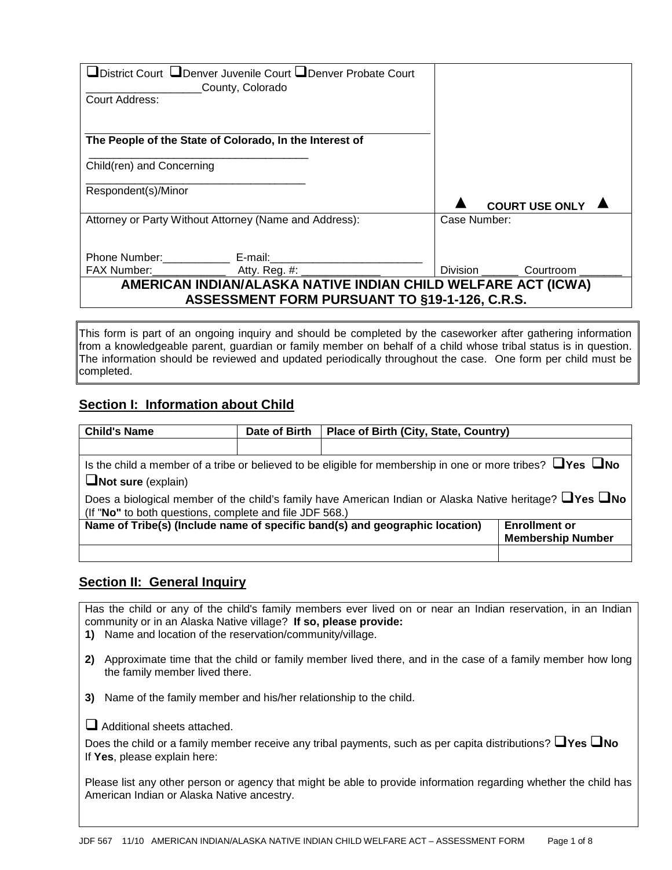| □District Court □Denver Juvenile Court □Denver Probate Court<br>County, Colorado |                                  |
|----------------------------------------------------------------------------------|----------------------------------|
| Court Address:                                                                   |                                  |
|                                                                                  |                                  |
| The People of the State of Colorado, In the Interest of                          |                                  |
| Child(ren) and Concerning                                                        |                                  |
| Respondent(s)/Minor                                                              |                                  |
|                                                                                  | <b>COURT USE ONLY</b>            |
| Attorney or Party Without Attorney (Name and Address):                           | Case Number:                     |
|                                                                                  |                                  |
|                                                                                  |                                  |
| FAX Number: _________________________Atty. Reg. #: _____________________________ | Division __________ Courtroom __ |
| AMERICAN INDIAN/ALASKA NATIVE INDIAN CHILD WELFARE ACT (ICWA)                    |                                  |
| ASSESSMENT FORM PURSUANT TO §19-1-126, C.R.S.                                    |                                  |

This form is part of an ongoing inquiry and should be completed by the caseworker after gathering information from a knowledgeable parent, guardian or family member on behalf of a child whose tribal status is in question. The information should be reviewed and updated periodically throughout the case. One form per child must be completed.

### **Section I: Information about Child**

| <b>Child's Name</b>                                                                                                                                                            | Date of Birth | <b>Place of Birth (City, State, Country)</b>                                                                           |                          |
|--------------------------------------------------------------------------------------------------------------------------------------------------------------------------------|---------------|------------------------------------------------------------------------------------------------------------------------|--------------------------|
|                                                                                                                                                                                |               |                                                                                                                        |                          |
|                                                                                                                                                                                |               | Is the child a member of a tribe or believed to be eligible for membership in one or more tribes? $\Box$ Yes $\Box$ No |                          |
| $\Box$ Not sure (explain)                                                                                                                                                      |               |                                                                                                                        |                          |
| Does a biological member of the child's family have American Indian or Alaska Native heritage? $\Box$ Yes $\Box$ No<br>(If "No" to both questions, complete and file JDF 568.) |               |                                                                                                                        |                          |
|                                                                                                                                                                                |               | Name of Tribe(s) (Include name of specific band(s) and geographic location)                                            | <b>Enrollment or</b>     |
|                                                                                                                                                                                |               |                                                                                                                        | <b>Membership Number</b> |
|                                                                                                                                                                                |               |                                                                                                                        |                          |

#### **Section II: General Inquiry**

Has the child or any of the child's family members ever lived on or near an Indian reservation, in an Indian community or in an Alaska Native village? **If so, please provide:**

- **1)** Name and location of the reservation/community/village.
- **2)** Approximate time that the child or family member lived there, and in the case of a family member how long the family member lived there.
- **3)** Name of the family member and his/her relationship to the child.

 $\Box$  Additional sheets attached.

Does the child or a family member receive any tribal payments, such as per capita distributions? **Yes No** If **Yes**, please explain here:

Please list any other person or agency that might be able to provide information regarding whether the child has American Indian or Alaska Native ancestry.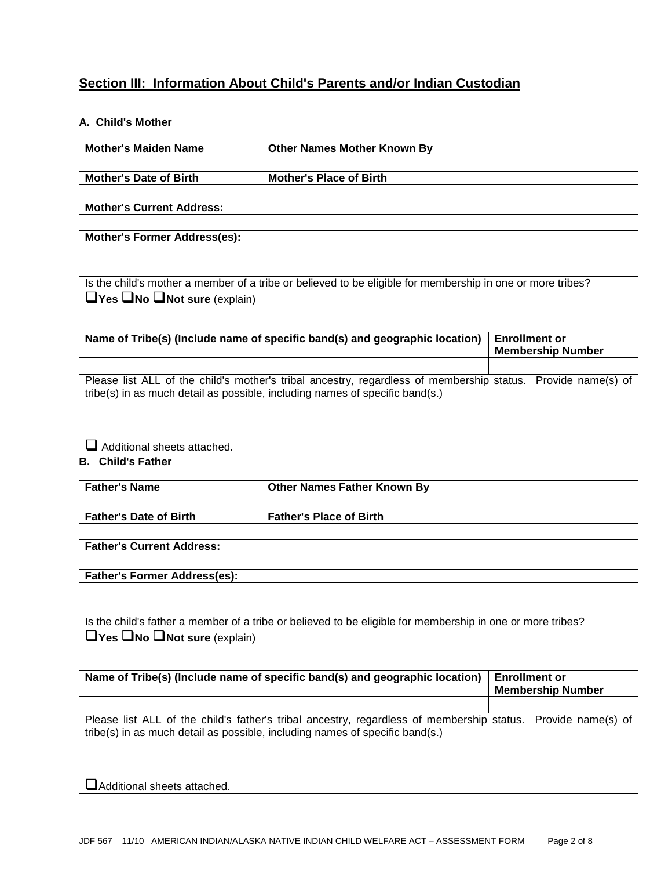# **Section III: Information About Child's Parents and/or Indian Custodian**

### **A. Child's Mother**

| <b>Mother's Maiden Name</b>                    | <b>Other Names Mother Known By</b>                                                                           |                                                  |
|------------------------------------------------|--------------------------------------------------------------------------------------------------------------|--------------------------------------------------|
|                                                |                                                                                                              |                                                  |
| <b>Mother's Date of Birth</b>                  | <b>Mother's Place of Birth</b>                                                                               |                                                  |
|                                                |                                                                                                              |                                                  |
| <b>Mother's Current Address:</b>               |                                                                                                              |                                                  |
|                                                |                                                                                                              |                                                  |
| <b>Mother's Former Address(es):</b>            |                                                                                                              |                                                  |
|                                                |                                                                                                              |                                                  |
|                                                |                                                                                                              |                                                  |
|                                                | Is the child's mother a member of a tribe or believed to be eligible for membership in one or more tribes?   |                                                  |
| $\Box$ Yes $\Box$ No $\Box$ Not sure (explain) |                                                                                                              |                                                  |
|                                                |                                                                                                              |                                                  |
|                                                |                                                                                                              |                                                  |
|                                                | Name of Tribe(s) (Include name of specific band(s) and geographic location)                                  | <b>Enrollment or</b><br><b>Membership Number</b> |
|                                                |                                                                                                              |                                                  |
|                                                | Please list ALL of the child's mother's tribal ancestry, regardless of membership status. Provide name(s) of |                                                  |
|                                                | tribe(s) in as much detail as possible, including names of specific band(s.)                                 |                                                  |
|                                                |                                                                                                              |                                                  |
|                                                |                                                                                                              |                                                  |
|                                                |                                                                                                              |                                                  |
| Additional sheets attached.                    |                                                                                                              |                                                  |
| <b>B.</b> Child's Father                       |                                                                                                              |                                                  |

| <b>Father's Name</b>                                                                                                                                         | <b>Other Names Father Known By</b>                                                                                                                                                           |                                                  |
|--------------------------------------------------------------------------------------------------------------------------------------------------------------|----------------------------------------------------------------------------------------------------------------------------------------------------------------------------------------------|--------------------------------------------------|
| <b>Father's Date of Birth</b>                                                                                                                                | <b>Father's Place of Birth</b>                                                                                                                                                               |                                                  |
| <b>Father's Current Address:</b>                                                                                                                             |                                                                                                                                                                                              |                                                  |
| <b>Father's Former Address(es):</b>                                                                                                                          |                                                                                                                                                                                              |                                                  |
| Is the child's father a member of a tribe or believed to be eligible for membership in one or more tribes?<br>$\Box$ Yes $\Box$ No $\Box$ Not sure (explain) |                                                                                                                                                                                              |                                                  |
|                                                                                                                                                              | Name of Tribe(s) (Include name of specific band(s) and geographic location)                                                                                                                  | <b>Enrollment or</b><br><b>Membership Number</b> |
|                                                                                                                                                              | Please list ALL of the child's father's tribal ancestry, regardless of membership status. Provide name(s) of<br>tribe(s) in as much detail as possible, including names of specific band(s.) |                                                  |

Additional sheets attached.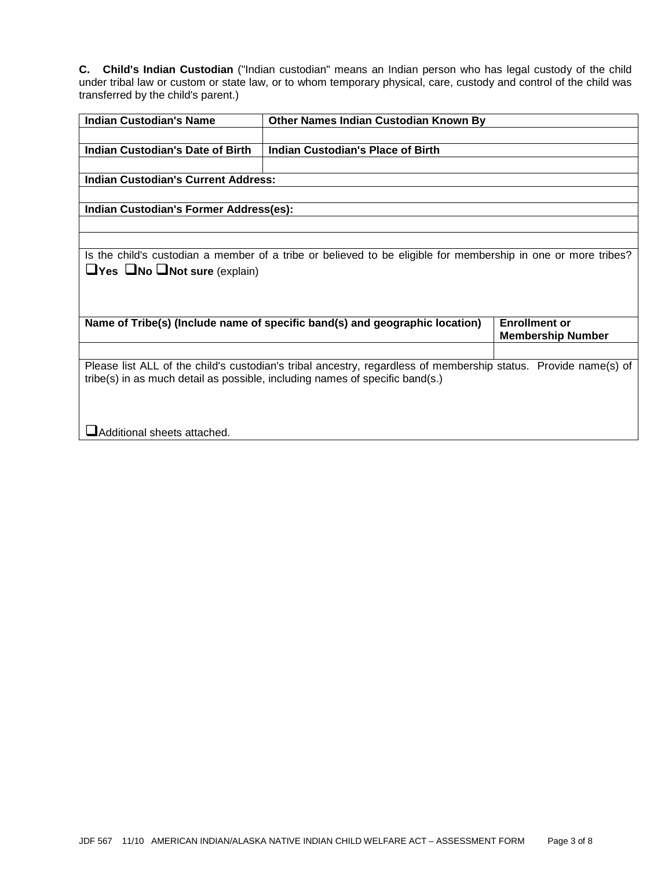**C. Child's Indian Custodian** ("Indian custodian" means an Indian person who has legal custody of the child under tribal law or custom or state law, or to whom temporary physical, care, custody and control of the child was transferred by the child's parent.)

| <b>Indian Custodian's Name</b>                 | Other Names Indian Custodian Known By                                                                           |                                                  |
|------------------------------------------------|-----------------------------------------------------------------------------------------------------------------|--------------------------------------------------|
|                                                |                                                                                                                 |                                                  |
| <b>Indian Custodian's Date of Birth</b>        | Indian Custodian's Place of Birth                                                                               |                                                  |
|                                                |                                                                                                                 |                                                  |
| <b>Indian Custodian's Current Address:</b>     |                                                                                                                 |                                                  |
|                                                |                                                                                                                 |                                                  |
| Indian Custodian's Former Address(es):         |                                                                                                                 |                                                  |
|                                                |                                                                                                                 |                                                  |
|                                                |                                                                                                                 |                                                  |
|                                                | Is the child's custodian a member of a tribe or believed to be eligible for membership in one or more tribes?   |                                                  |
| $\Box$ Yes $\Box$ No $\Box$ Not sure (explain) |                                                                                                                 |                                                  |
|                                                |                                                                                                                 |                                                  |
|                                                |                                                                                                                 |                                                  |
|                                                |                                                                                                                 |                                                  |
|                                                | Name of Tribe(s) (Include name of specific band(s) and geographic location)                                     | <b>Enrollment or</b><br><b>Membership Number</b> |
|                                                |                                                                                                                 |                                                  |
|                                                | Please list ALL of the child's custodian's tribal ancestry, regardless of membership status. Provide name(s) of |                                                  |
|                                                | tribe(s) in as much detail as possible, including names of specific band(s.)                                    |                                                  |
|                                                |                                                                                                                 |                                                  |
|                                                |                                                                                                                 |                                                  |
|                                                |                                                                                                                 |                                                  |
| Additional sheets attached.                    |                                                                                                                 |                                                  |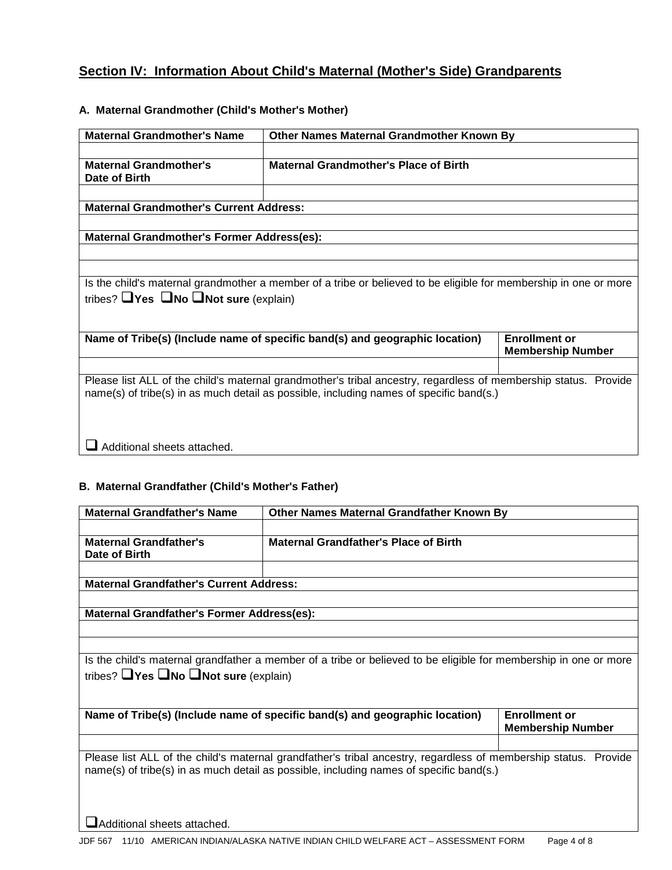# **Section IV: Information About Child's Maternal (Mother's Side) Grandparents**

### **A. Maternal Grandmother (Child's Mother's Mother)**

| <b>Maternal Grandmother's Name</b>                                                      | Other Names Maternal Grandmother Known By                                                                        |                                                  |
|-----------------------------------------------------------------------------------------|------------------------------------------------------------------------------------------------------------------|--------------------------------------------------|
|                                                                                         |                                                                                                                  |                                                  |
| <b>Maternal Grandmother's</b><br>Date of Birth                                          | <b>Maternal Grandmother's Place of Birth</b>                                                                     |                                                  |
|                                                                                         |                                                                                                                  |                                                  |
| <b>Maternal Grandmother's Current Address:</b>                                          |                                                                                                                  |                                                  |
|                                                                                         |                                                                                                                  |                                                  |
| <b>Maternal Grandmother's Former Address(es):</b>                                       |                                                                                                                  |                                                  |
|                                                                                         |                                                                                                                  |                                                  |
|                                                                                         |                                                                                                                  |                                                  |
|                                                                                         | Is the child's maternal grandmother a member of a tribe or believed to be eligible for membership in one or more |                                                  |
| tribes? $\Box$ Yes $\Box$ No $\Box$ Not sure (explain)                                  |                                                                                                                  |                                                  |
|                                                                                         |                                                                                                                  |                                                  |
|                                                                                         |                                                                                                                  |                                                  |
|                                                                                         | Name of Tribe(s) (Include name of specific band(s) and geographic location)                                      | <b>Enrollment or</b><br><b>Membership Number</b> |
|                                                                                         |                                                                                                                  |                                                  |
|                                                                                         | Please list ALL of the child's maternal grandmother's tribal ancestry, regardless of membership status. Provide  |                                                  |
| name(s) of tribe(s) in as much detail as possible, including names of specific band(s.) |                                                                                                                  |                                                  |
|                                                                                         |                                                                                                                  |                                                  |
|                                                                                         |                                                                                                                  |                                                  |
|                                                                                         |                                                                                                                  |                                                  |
| Additional sheets attached.                                                             |                                                                                                                  |                                                  |

## **B. Maternal Grandfather (Child's Mother's Father)**

| <b>Maternal Grandfather's Name</b>                                                                                                                                                                         | <b>Other Names Maternal Grandfather Known By</b>                            |                                                  |
|------------------------------------------------------------------------------------------------------------------------------------------------------------------------------------------------------------|-----------------------------------------------------------------------------|--------------------------------------------------|
| <b>Maternal Grandfather's</b><br>Date of Birth                                                                                                                                                             | <b>Maternal Grandfather's Place of Birth</b>                                |                                                  |
| <b>Maternal Grandfather's Current Address:</b>                                                                                                                                                             |                                                                             |                                                  |
| <b>Maternal Grandfather's Former Address(es):</b>                                                                                                                                                          |                                                                             |                                                  |
| Is the child's maternal grandfather a member of a tribe or believed to be eligible for membership in one or more<br>tribes? $\Box$ Yes $\Box$ No $\Box$ Not sure (explain)                                 |                                                                             |                                                  |
|                                                                                                                                                                                                            | Name of Tribe(s) (Include name of specific band(s) and geographic location) | <b>Enrollment or</b><br><b>Membership Number</b> |
| Please list ALL of the child's maternal grandfather's tribal ancestry, regardless of membership status. Provide<br>name(s) of tribe(s) in as much detail as possible, including names of specific band(s.) |                                                                             |                                                  |

Additional sheets attached.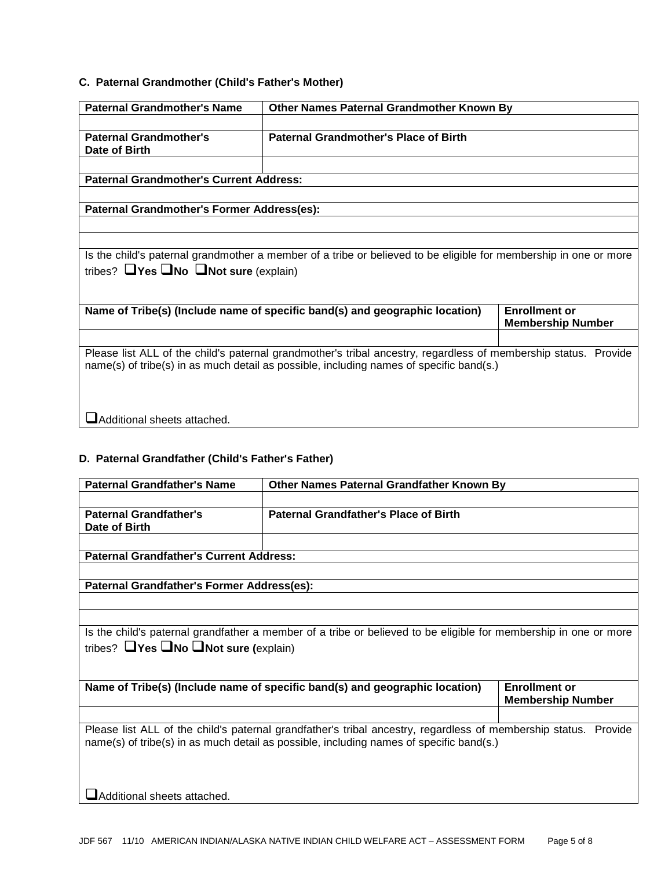## **C. Paternal Grandmother (Child's Father's Mother)**

| <b>Paternal Grandmother's Name</b>                                                                                                                                                                         | Other Names Paternal Grandmother Known By                                   |                                                  |
|------------------------------------------------------------------------------------------------------------------------------------------------------------------------------------------------------------|-----------------------------------------------------------------------------|--------------------------------------------------|
| <b>Paternal Grandmother's</b><br>Date of Birth                                                                                                                                                             | <b>Paternal Grandmother's Place of Birth</b>                                |                                                  |
| <b>Paternal Grandmother's Current Address:</b>                                                                                                                                                             |                                                                             |                                                  |
|                                                                                                                                                                                                            |                                                                             |                                                  |
| Paternal Grandmother's Former Address(es):                                                                                                                                                                 |                                                                             |                                                  |
|                                                                                                                                                                                                            |                                                                             |                                                  |
|                                                                                                                                                                                                            |                                                                             |                                                  |
| Is the child's paternal grandmother a member of a tribe or believed to be eligible for membership in one or more<br>tribes? $\Box$ Yes $\Box$ No $\Box$ Not sure (explain)                                 |                                                                             |                                                  |
|                                                                                                                                                                                                            | Name of Tribe(s) (Include name of specific band(s) and geographic location) | <b>Enrollment or</b><br><b>Membership Number</b> |
| Please list ALL of the child's paternal grandmother's tribal ancestry, regardless of membership status. Provide<br>name(s) of tribe(s) in as much detail as possible, including names of specific band(s.) |                                                                             |                                                  |
| Additional sheets attached.                                                                                                                                                                                |                                                                             |                                                  |

#### **D. Paternal Grandfather (Child's Father's Father)**

| <b>Paternal Grandfather's Name</b>                                                                                                                                         | <b>Other Names Paternal Grandfather Known By</b>                                                                                                                                                           |                                                  |
|----------------------------------------------------------------------------------------------------------------------------------------------------------------------------|------------------------------------------------------------------------------------------------------------------------------------------------------------------------------------------------------------|--------------------------------------------------|
| <b>Paternal Grandfather's</b><br>Date of Birth                                                                                                                             | <b>Paternal Grandfather's Place of Birth</b>                                                                                                                                                               |                                                  |
| <b>Paternal Grandfather's Current Address:</b>                                                                                                                             |                                                                                                                                                                                                            |                                                  |
| Paternal Grandfather's Former Address(es):                                                                                                                                 |                                                                                                                                                                                                            |                                                  |
| Is the child's paternal grandfather a member of a tribe or believed to be eligible for membership in one or more<br>tribes? $\Box$ Yes $\Box$ No $\Box$ Not sure (explain) |                                                                                                                                                                                                            |                                                  |
|                                                                                                                                                                            | Name of Tribe(s) (Include name of specific band(s) and geographic location)                                                                                                                                | <b>Enrollment or</b><br><b>Membership Number</b> |
|                                                                                                                                                                            | Please list ALL of the child's paternal grandfather's tribal ancestry, regardless of membership status. Provide<br>name(s) of tribe(s) in as much detail as possible, including names of specific band(s.) |                                                  |

**Additional sheets attached.**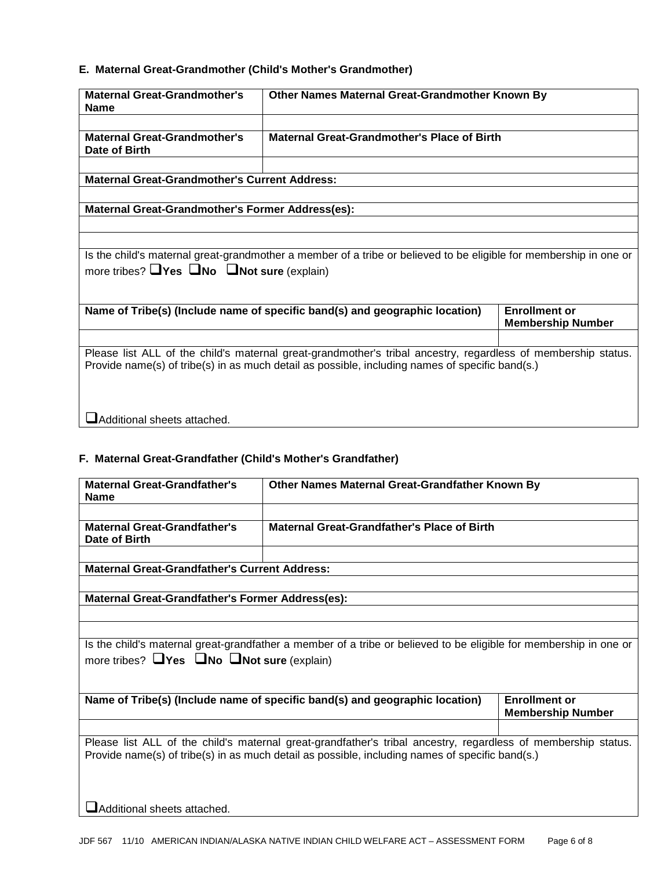## **E. Maternal Great-Grandmother (Child's Mother's Grandmother)**

| <b>Maternal Great-Grandmother's</b><br><b>Name</b>                                                                                                                                                               | Other Names Maternal Great-Grandmother Known By |  |
|------------------------------------------------------------------------------------------------------------------------------------------------------------------------------------------------------------------|-------------------------------------------------|--|
| <b>Maternal Great-Grandmother's</b><br>Date of Birth                                                                                                                                                             | Maternal Great-Grandmother's Place of Birth     |  |
| <b>Maternal Great-Grandmother's Current Address:</b>                                                                                                                                                             |                                                 |  |
|                                                                                                                                                                                                                  |                                                 |  |
| <b>Maternal Great-Grandmother's Former Address(es):</b>                                                                                                                                                          |                                                 |  |
|                                                                                                                                                                                                                  |                                                 |  |
|                                                                                                                                                                                                                  |                                                 |  |
| Is the child's maternal great-grandmother a member of a tribe or believed to be eligible for membership in one or<br>more tribes? $\Box$ Yes $\Box$ No $\Box$ Not sure (explain)                                 |                                                 |  |
| Name of Tribe(s) (Include name of specific band(s) and geographic location)<br><b>Enrollment or</b><br><b>Membership Number</b>                                                                                  |                                                 |  |
|                                                                                                                                                                                                                  |                                                 |  |
| Please list ALL of the child's maternal great-grandmother's tribal ancestry, regardless of membership status.<br>Provide name(s) of tribe(s) in as much detail as possible, including names of specific band(s.) |                                                 |  |
| Additional sheets attached.                                                                                                                                                                                      |                                                 |  |

### **F. Maternal Great-Grandfather (Child's Mother's Grandfather)**

| <b>Maternal Great-Grandfather's</b><br><b>Name</b>                                                            | Other Names Maternal Great-Grandfather Known By                                                                   |                          |
|---------------------------------------------------------------------------------------------------------------|-------------------------------------------------------------------------------------------------------------------|--------------------------|
|                                                                                                               |                                                                                                                   |                          |
| <b>Maternal Great-Grandfather's</b><br>Date of Birth                                                          | Maternal Great-Grandfather's Place of Birth                                                                       |                          |
|                                                                                                               |                                                                                                                   |                          |
| <b>Maternal Great-Grandfather's Current Address:</b>                                                          |                                                                                                                   |                          |
|                                                                                                               |                                                                                                                   |                          |
| Maternal Great-Grandfather's Former Address(es):                                                              |                                                                                                                   |                          |
|                                                                                                               |                                                                                                                   |                          |
|                                                                                                               |                                                                                                                   |                          |
|                                                                                                               | Is the child's maternal great-grandfather a member of a tribe or believed to be eligible for membership in one or |                          |
| more tribes? $\Box$ Yes $\Box$ No $\Box$ Not sure (explain)                                                   |                                                                                                                   |                          |
|                                                                                                               |                                                                                                                   |                          |
|                                                                                                               |                                                                                                                   |                          |
|                                                                                                               | Name of Tribe(s) (Include name of specific band(s) and geographic location)                                       | <b>Enrollment or</b>     |
|                                                                                                               |                                                                                                                   | <b>Membership Number</b> |
|                                                                                                               |                                                                                                                   |                          |
| Please list ALL of the child's maternal great-grandfather's tribal ancestry, regardless of membership status. |                                                                                                                   |                          |
| Provide name(s) of tribe(s) in as much detail as possible, including names of specific band(s.)               |                                                                                                                   |                          |
|                                                                                                               |                                                                                                                   |                          |
|                                                                                                               |                                                                                                                   |                          |
| Additional sheets attached.                                                                                   |                                                                                                                   |                          |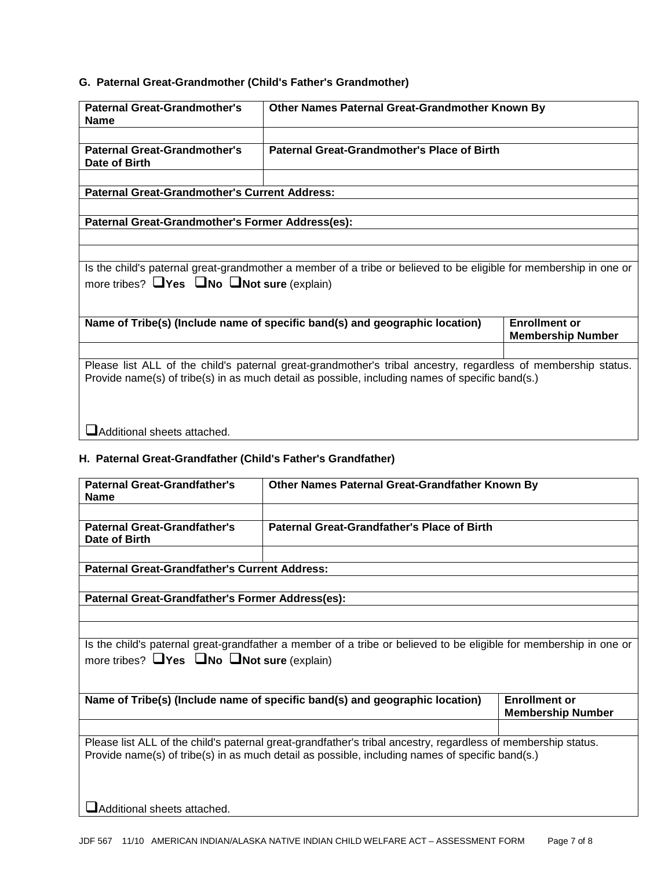# **G. Paternal Great-Grandmother (Child's Father's Grandmother)**

| <b>Paternal Great-Grandmother's</b><br><b>Name</b>                                                                                                                                                                                              | Other Names Paternal Great-Grandmother Known By    |  |  |
|-------------------------------------------------------------------------------------------------------------------------------------------------------------------------------------------------------------------------------------------------|----------------------------------------------------|--|--|
| <b>Paternal Great-Grandmother's</b><br>Date of Birth                                                                                                                                                                                            | <b>Paternal Great-Grandmother's Place of Birth</b> |  |  |
| <b>Paternal Great-Grandmother's Current Address:</b>                                                                                                                                                                                            |                                                    |  |  |
|                                                                                                                                                                                                                                                 |                                                    |  |  |
| Paternal Great-Grandmother's Former Address(es):                                                                                                                                                                                                |                                                    |  |  |
|                                                                                                                                                                                                                                                 |                                                    |  |  |
|                                                                                                                                                                                                                                                 |                                                    |  |  |
| Is the child's paternal great-grandmother a member of a tribe or believed to be eligible for membership in one or<br>more tribes? $\Box$ Yes $\Box$ No $\Box$ Not sure (explain)                                                                |                                                    |  |  |
| <b>Enrollment or</b><br>Name of Tribe(s) (Include name of specific band(s) and geographic location)<br><b>Membership Number</b>                                                                                                                 |                                                    |  |  |
| Please list ALL of the child's paternal great-grandmother's tribal ancestry, regardless of membership status.<br>Provide name(s) of tribe(s) in as much detail as possible, including names of specific band(s.)<br>Additional sheets attached. |                                                    |  |  |

#### **H. Paternal Great-Grandfather (Child's Father's Grandfather)**

| <b>Paternal Great-Grandfather's</b><br><b>Name</b>                                                                                                                                                               | Other Names Paternal Great-Grandfather Known By    |                                                  |  |
|------------------------------------------------------------------------------------------------------------------------------------------------------------------------------------------------------------------|----------------------------------------------------|--------------------------------------------------|--|
|                                                                                                                                                                                                                  |                                                    |                                                  |  |
| <b>Paternal Great-Grandfather's</b><br>Date of Birth                                                                                                                                                             | <b>Paternal Great-Grandfather's Place of Birth</b> |                                                  |  |
|                                                                                                                                                                                                                  |                                                    |                                                  |  |
| <b>Paternal Great-Grandfather's Current Address:</b>                                                                                                                                                             |                                                    |                                                  |  |
|                                                                                                                                                                                                                  |                                                    |                                                  |  |
| Paternal Great-Grandfather's Former Address(es):                                                                                                                                                                 |                                                    |                                                  |  |
|                                                                                                                                                                                                                  |                                                    |                                                  |  |
|                                                                                                                                                                                                                  |                                                    |                                                  |  |
| Is the child's paternal great-grandfather a member of a tribe or believed to be eligible for membership in one or<br>more tribes? $\Box$ Yes $\Box$ No $\Box$ Not sure (explain)                                 |                                                    |                                                  |  |
| Name of Tribe(s) (Include name of specific band(s) and geographic location)                                                                                                                                      |                                                    | <b>Enrollment or</b><br><b>Membership Number</b> |  |
|                                                                                                                                                                                                                  |                                                    |                                                  |  |
| Please list ALL of the child's paternal great-grandfather's tribal ancestry, regardless of membership status.<br>Provide name(s) of tribe(s) in as much detail as possible, including names of specific band(s.) |                                                    |                                                  |  |
| lAdditional sheets attached.                                                                                                                                                                                     |                                                    |                                                  |  |